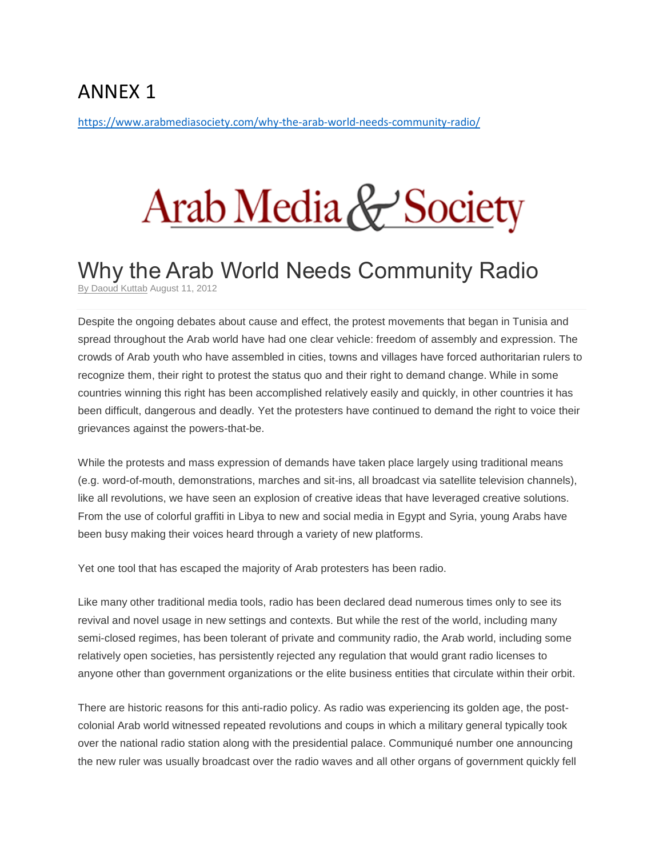## ANNEX 1

<https://www.arabmediasociety.com/why-the-arab-world-needs-community-radio/>

## Arab Media & Society

## Why the Arab World Needs Community Radio

By [Daoud](https://www.arabmediasociety.com/author/daoud-kuttab/) Kuttab August 11, 2012

Despite the ongoing debates about cause and effect, the protest movements that began in Tunisia and spread throughout the Arab world have had one clear vehicle: freedom of assembly and expression. The crowds of Arab youth who have assembled in cities, towns and villages have forced authoritarian rulers to recognize them, their right to protest the status quo and their right to demand change. While in some countries winning this right has been accomplished relatively easily and quickly, in other countries it has been difficult, dangerous and deadly. Yet the protesters have continued to demand the right to voice their grievances against the powers-that-be.

While the protests and mass expression of demands have taken place largely using traditional means (e.g. word-of-mouth, demonstrations, marches and sit-ins, all broadcast via satellite television channels), like all revolutions, we have seen an explosion of creative ideas that have leveraged creative solutions. From the use of colorful graffiti in Libya to new and social media in Egypt and Syria, young Arabs have been busy making their voices heard through a variety of new platforms.

Yet one tool that has escaped the majority of Arab protesters has been radio.

Like many other traditional media tools, radio has been declared dead numerous times only to see its revival and novel usage in new settings and contexts. But while the rest of the world, including many semi-closed regimes, has been tolerant of private and community radio, the Arab world, including some relatively open societies, has persistently rejected any regulation that would grant radio licenses to anyone other than government organizations or the elite business entities that circulate within their orbit.

There are historic reasons for this anti-radio policy. As radio was experiencing its golden age, the postcolonial Arab world witnessed repeated revolutions and coups in which a military general typically took over the national radio station along with the presidential palace. Communiqué number one announcing the new ruler was usually broadcast over the radio waves and all other organs of government quickly fell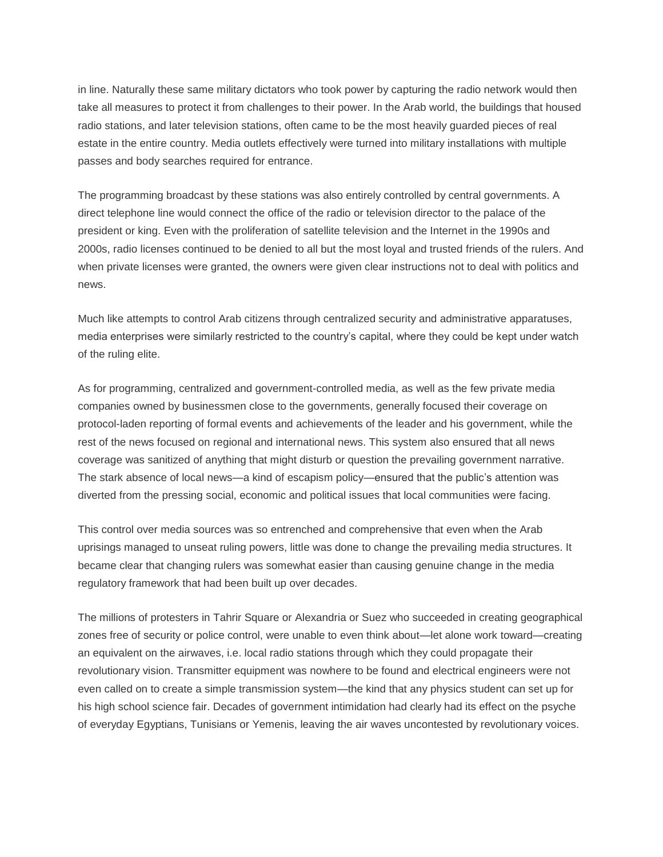in line. Naturally these same military dictators who took power by capturing the radio network would then take all measures to protect it from challenges to their power. In the Arab world, the buildings that housed radio stations, and later television stations, often came to be the most heavily guarded pieces of real estate in the entire country. Media outlets effectively were turned into military installations with multiple passes and body searches required for entrance.

The programming broadcast by these stations was also entirely controlled by central governments. A direct telephone line would connect the office of the radio or television director to the palace of the president or king. Even with the proliferation of satellite television and the Internet in the 1990s and 2000s, radio licenses continued to be denied to all but the most loyal and trusted friends of the rulers. And when private licenses were granted, the owners were given clear instructions not to deal with politics and news.

Much like attempts to control Arab citizens through centralized security and administrative apparatuses, media enterprises were similarly restricted to the country's capital, where they could be kept under watch of the ruling elite.

As for programming, centralized and government-controlled media, as well as the few private media companies owned by businessmen close to the governments, generally focused their coverage on protocol-laden reporting of formal events and achievements of the leader and his government, while the rest of the news focused on regional and international news. This system also ensured that all news coverage was sanitized of anything that might disturb or question the prevailing government narrative. The stark absence of local news—a kind of escapism policy—ensured that the public's attention was diverted from the pressing social, economic and political issues that local communities were facing.

This control over media sources was so entrenched and comprehensive that even when the Arab uprisings managed to unseat ruling powers, little was done to change the prevailing media structures. It became clear that changing rulers was somewhat easier than causing genuine change in the media regulatory framework that had been built up over decades.

The millions of protesters in Tahrir Square or Alexandria or Suez who succeeded in creating geographical zones free of security or police control, were unable to even think about—let alone work toward—creating an equivalent on the airwaves, i.e. local radio stations through which they could propagate their revolutionary vision. Transmitter equipment was nowhere to be found and electrical engineers were not even called on to create a simple transmission system—the kind that any physics student can set up for his high school science fair. Decades of government intimidation had clearly had its effect on the psyche of everyday Egyptians, Tunisians or Yemenis, leaving the air waves uncontested by revolutionary voices.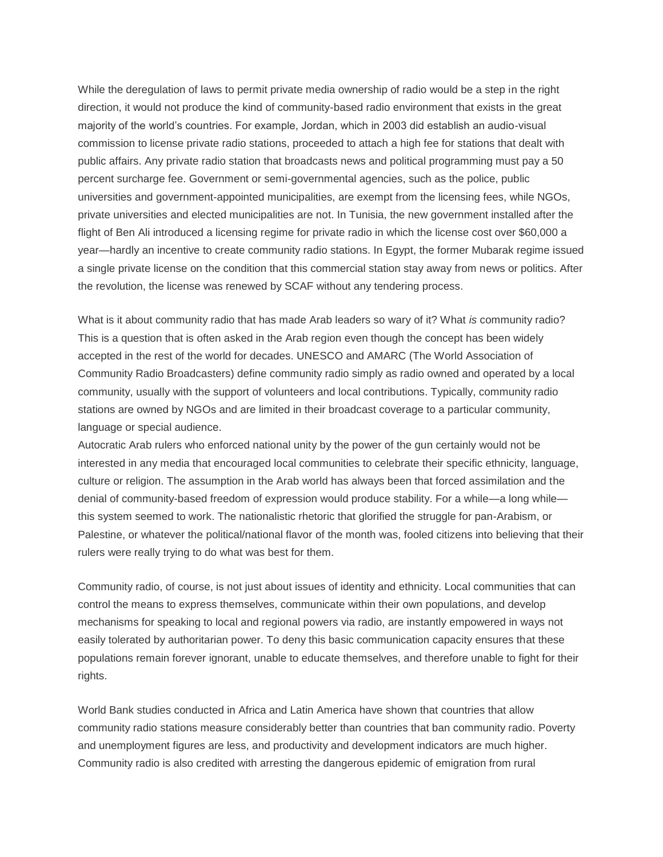While the deregulation of laws to permit private media ownership of radio would be a step in the right direction, it would not produce the kind of community-based radio environment that exists in the great majority of the world's countries. For example, Jordan, which in 2003 did establish an audio-visual commission to license private radio stations, proceeded to attach a high fee for stations that dealt with public affairs. Any private radio station that broadcasts news and political programming must pay a 50 percent surcharge fee. Government or semi-governmental agencies, such as the police, public universities and government-appointed municipalities, are exempt from the licensing fees, while NGOs, private universities and elected municipalities are not. In Tunisia, the new government installed after the flight of Ben Ali introduced a licensing regime for private radio in which the license cost over \$60,000 a year—hardly an incentive to create community radio stations. In Egypt, the former Mubarak regime issued a single private license on the condition that this commercial station stay away from news or politics. After the revolution, the license was renewed by SCAF without any tendering process.

What is it about community radio that has made Arab leaders so wary of it? What *is* community radio? This is a question that is often asked in the Arab region even though the concept has been widely accepted in the rest of the world for decades. UNESCO and AMARC (The World Association of Community Radio Broadcasters) define community radio simply as radio owned and operated by a local community, usually with the support of volunteers and local contributions. Typically, community radio stations are owned by NGOs and are limited in their broadcast coverage to a particular community, language or special audience.

Autocratic Arab rulers who enforced national unity by the power of the gun certainly would not be interested in any media that encouraged local communities to celebrate their specific ethnicity, language, culture or religion. The assumption in the Arab world has always been that forced assimilation and the denial of community-based freedom of expression would produce stability. For a while—a long while this system seemed to work. The nationalistic rhetoric that glorified the struggle for pan-Arabism, or Palestine, or whatever the political/national flavor of the month was, fooled citizens into believing that their rulers were really trying to do what was best for them.

Community radio, of course, is not just about issues of identity and ethnicity. Local communities that can control the means to express themselves, communicate within their own populations, and develop mechanisms for speaking to local and regional powers via radio, are instantly empowered in ways not easily tolerated by authoritarian power. To deny this basic communication capacity ensures that these populations remain forever ignorant, unable to educate themselves, and therefore unable to fight for their rights.

World Bank studies conducted in Africa and Latin America have shown that countries that allow community radio stations measure considerably better than countries that ban community radio. Poverty and unemployment figures are less, and productivity and development indicators are much higher. Community radio is also credited with arresting the dangerous epidemic of emigration from rural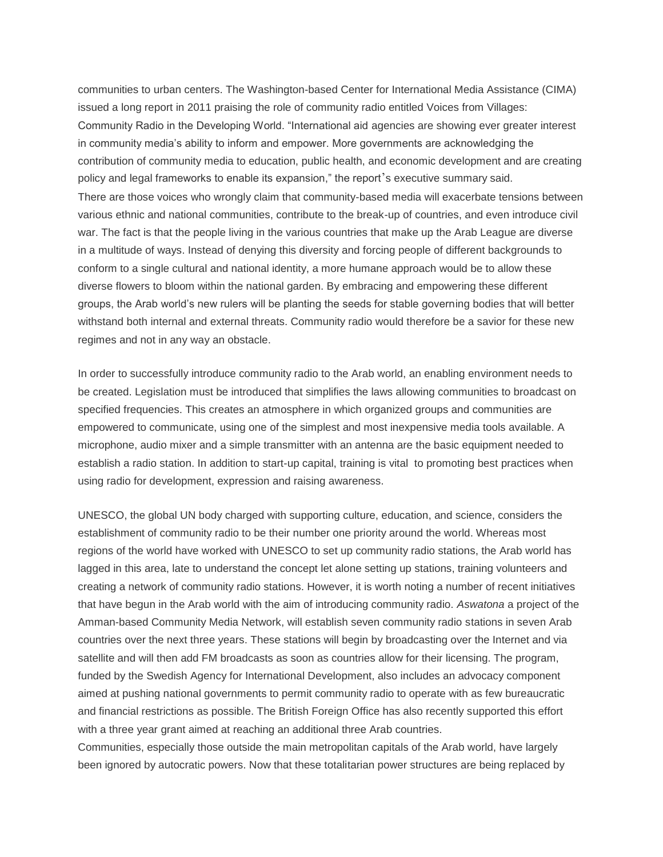communities to urban centers. The Washington-based Center for International Media Assistance (CIMA) issued a long report in 2011 praising the role of community radio entitled Voices from Villages: Community Radio in the Developing World. "International aid agencies are showing ever greater interest in community media's ability to inform and empower. More governments are acknowledging the contribution of community media to education, public health, and economic development and are creating policy and legal frameworks to enable its expansion," the report's executive summary said. There are those voices who wrongly claim that community-based media will exacerbate tensions between various ethnic and national communities, contribute to the break-up of countries, and even introduce civil war. The fact is that the people living in the various countries that make up the Arab League are diverse in a multitude of ways. Instead of denying this diversity and forcing people of different backgrounds to conform to a single cultural and national identity, a more humane approach would be to allow these diverse flowers to bloom within the national garden. By embracing and empowering these different groups, the Arab world's new rulers will be planting the seeds for stable governing bodies that will better withstand both internal and external threats. Community radio would therefore be a savior for these new regimes and not in any way an obstacle.

In order to successfully introduce community radio to the Arab world, an enabling environment needs to be created. Legislation must be introduced that simplifies the laws allowing communities to broadcast on specified frequencies. This creates an atmosphere in which organized groups and communities are empowered to communicate, using one of the simplest and most inexpensive media tools available. A microphone, audio mixer and a simple transmitter with an antenna are the basic equipment needed to establish a radio station. In addition to start-up capital, training is vital to promoting best practices when using radio for development, expression and raising awareness.

UNESCO, the global UN body charged with supporting culture, education, and science, considers the establishment of community radio to be their number one priority around the world. Whereas most regions of the world have worked with UNESCO to set up community radio stations, the Arab world has lagged in this area, late to understand the concept let alone setting up stations, training volunteers and creating a network of community radio stations. However, it is worth noting a number of recent initiatives that have begun in the Arab world with the aim of introducing community radio. *Aswatona* a project of the Amman-based Community Media Network, will establish seven community radio stations in seven Arab countries over the next three years. These stations will begin by broadcasting over the Internet and via satellite and will then add FM broadcasts as soon as countries allow for their licensing. The program, funded by the Swedish Agency for International Development, also includes an advocacy component aimed at pushing national governments to permit community radio to operate with as few bureaucratic and financial restrictions as possible. The British Foreign Office has also recently supported this effort with a three year grant aimed at reaching an additional three Arab countries.

Communities, especially those outside the main metropolitan capitals of the Arab world, have largely been ignored by autocratic powers. Now that these totalitarian power structures are being replaced by